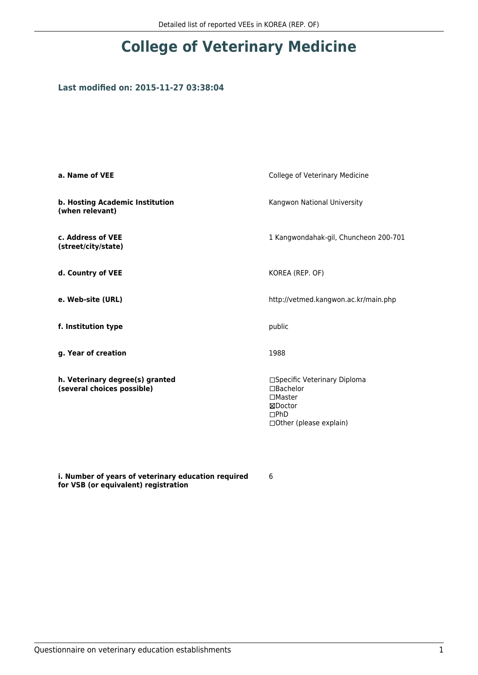### **Last modified on: 2015-11-27 03:38:04**

| a. Name of VEE                                                | College of Veterinary Medicine                                                                                  |
|---------------------------------------------------------------|-----------------------------------------------------------------------------------------------------------------|
| b. Hosting Academic Institution<br>(when relevant)            | Kangwon National University                                                                                     |
| c. Address of VEE<br>(street/city/state)                      | 1 Kangwondahak-gil, Chuncheon 200-701                                                                           |
| d. Country of VEE                                             | KOREA (REP. OF)                                                                                                 |
| e. Web-site (URL)                                             | http://vetmed.kangwon.ac.kr/main.php                                                                            |
| f. Institution type                                           | public                                                                                                          |
| g. Year of creation                                           | 1988                                                                                                            |
| h. Veterinary degree(s) granted<br>(several choices possible) | □Specific Veterinary Diploma<br>$\Box$ Bachelor<br>$\Box$ Master<br>⊠Doctor<br>DPhD<br>□ Other (please explain) |

**i. Number of years of veterinary education required for VSB (or equivalent) registration**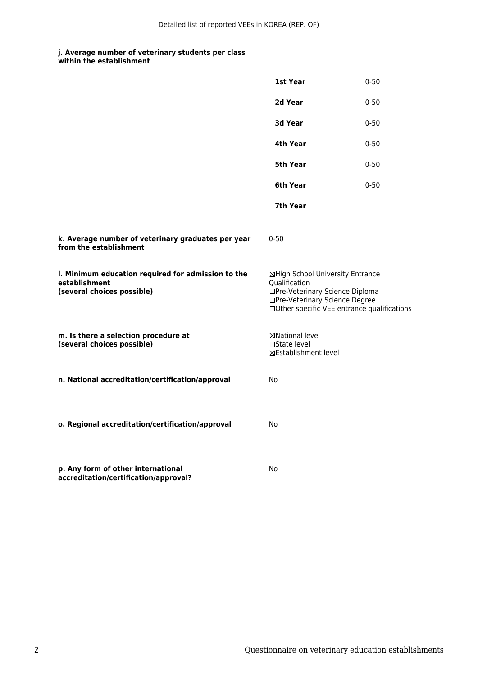|                                                                                                   | 1st Year                                                                                                                                                              | $0 - 50$ |
|---------------------------------------------------------------------------------------------------|-----------------------------------------------------------------------------------------------------------------------------------------------------------------------|----------|
|                                                                                                   | 2d Year                                                                                                                                                               | $0 - 50$ |
|                                                                                                   | 3d Year                                                                                                                                                               | $0 - 50$ |
|                                                                                                   | 4th Year                                                                                                                                                              | $0 - 50$ |
|                                                                                                   | 5th Year                                                                                                                                                              | $0 - 50$ |
|                                                                                                   | 6th Year                                                                                                                                                              | $0 - 50$ |
|                                                                                                   | 7th Year                                                                                                                                                              |          |
| k. Average number of veterinary graduates per year<br>from the establishment                      | $0 - 50$                                                                                                                                                              |          |
| I. Minimum education required for admission to the<br>establishment<br>(several choices possible) | ⊠High School University Entrance<br>Qualification<br>□Pre-Veterinary Science Diploma<br>□Pre-Veterinary Science Degree<br>□Other specific VEE entrance qualifications |          |
| m. Is there a selection procedure at<br>(several choices possible)                                | ⊠National level<br>□State level<br>⊠Establishment level                                                                                                               |          |
| n. National accreditation/certification/approval                                                  | No                                                                                                                                                                    |          |
| o. Regional accreditation/certification/approval                                                  | No                                                                                                                                                                    |          |
| p. Any form of other international<br>accreditation/certification/approval?                       | No                                                                                                                                                                    |          |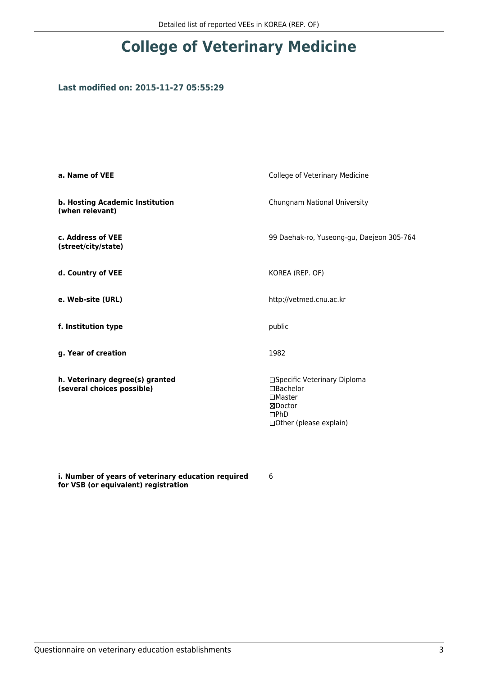### **Last modified on: 2015-11-27 05:55:29**

| a. Name of VEE                                                | College of Veterinary Medicine                                                                                 |
|---------------------------------------------------------------|----------------------------------------------------------------------------------------------------------------|
| b. Hosting Academic Institution<br>(when relevant)            | Chungnam National University                                                                                   |
| c. Address of VEE<br>(street/city/state)                      | 99 Daehak-ro, Yuseong-gu, Daejeon 305-764                                                                      |
| d. Country of VEE                                             | KOREA (REP. OF)                                                                                                |
| e. Web-site (URL)                                             | http://vetmed.cnu.ac.kr                                                                                        |
| f. Institution type                                           | public                                                                                                         |
| g. Year of creation                                           | 1982                                                                                                           |
| h. Veterinary degree(s) granted<br>(several choices possible) | □Specific Veterinary Diploma<br>□Bachelor<br>$\Box$ Master<br>⊠Doctor<br>DPhD<br>$\Box$ Other (please explain) |

**i. Number of years of veterinary education required for VSB (or equivalent) registration**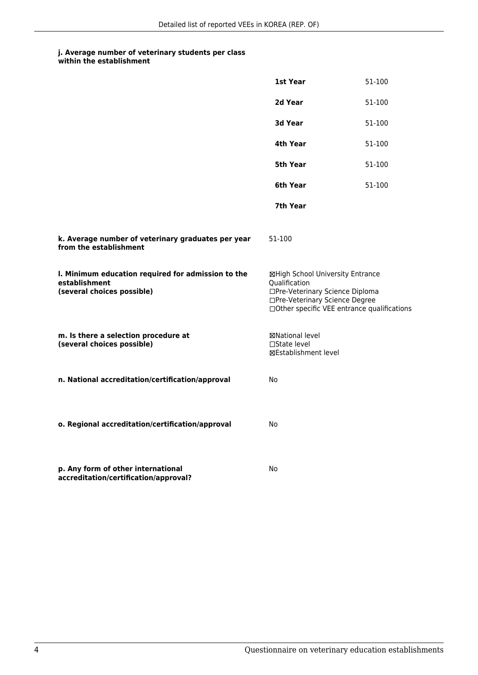| within the establishment |
|--------------------------|
|                          |

|                                                                                                   | 1st Year                                                                                                                                                              | 51-100 |
|---------------------------------------------------------------------------------------------------|-----------------------------------------------------------------------------------------------------------------------------------------------------------------------|--------|
|                                                                                                   | 2d Year                                                                                                                                                               | 51-100 |
|                                                                                                   | 3d Year                                                                                                                                                               | 51-100 |
|                                                                                                   | 4th Year                                                                                                                                                              | 51-100 |
|                                                                                                   | 5th Year                                                                                                                                                              | 51-100 |
|                                                                                                   | 6th Year                                                                                                                                                              | 51-100 |
|                                                                                                   | 7th Year                                                                                                                                                              |        |
| k. Average number of veterinary graduates per year<br>from the establishment                      | 51-100                                                                                                                                                                |        |
| I. Minimum education required for admission to the<br>establishment<br>(several choices possible) | ⊠High School University Entrance<br>Oualification<br>□Pre-Veterinary Science Diploma<br>□Pre-Veterinary Science Degree<br>□Other specific VEE entrance qualifications |        |
| m. Is there a selection procedure at<br>(several choices possible)                                | ⊠National level<br>□State level<br><b>⊠Establishment level</b>                                                                                                        |        |
| n. National accreditation/certification/approval                                                  | No                                                                                                                                                                    |        |
| o. Regional accreditation/certification/approval                                                  | No                                                                                                                                                                    |        |
| p. Any form of other international<br>accreditation/certification/approval?                       | No                                                                                                                                                                    |        |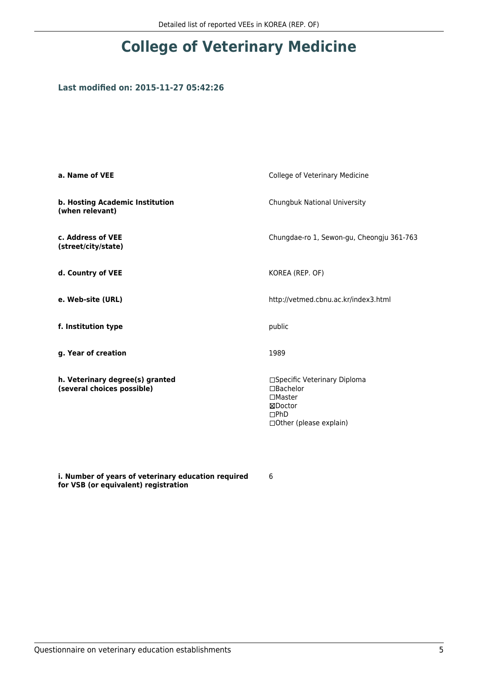### **Last modified on: 2015-11-27 05:42:26**

| a. Name of VEE                                                | College of Veterinary Medicine                                                                                     |
|---------------------------------------------------------------|--------------------------------------------------------------------------------------------------------------------|
| b. Hosting Academic Institution<br>(when relevant)            | Chungbuk National University                                                                                       |
| c. Address of VEE<br>(street/city/state)                      | Chungdae-ro 1, Sewon-gu, Cheongju 361-763                                                                          |
| d. Country of VEE                                             | KOREA (REP. OF)                                                                                                    |
| e. Web-site (URL)                                             | http://vetmed.cbnu.ac.kr/index3.html                                                                               |
| f. Institution type                                           | public                                                                                                             |
| g. Year of creation                                           | 1989                                                                                                               |
| h. Veterinary degree(s) granted<br>(several choices possible) | □Specific Veterinary Diploma<br>□Bachelor<br>$\Box$ Master<br>⊠Doctor<br>$\square$ PhD<br>□ Other (please explain) |

**i. Number of years of veterinary education required for VSB (or equivalent) registration**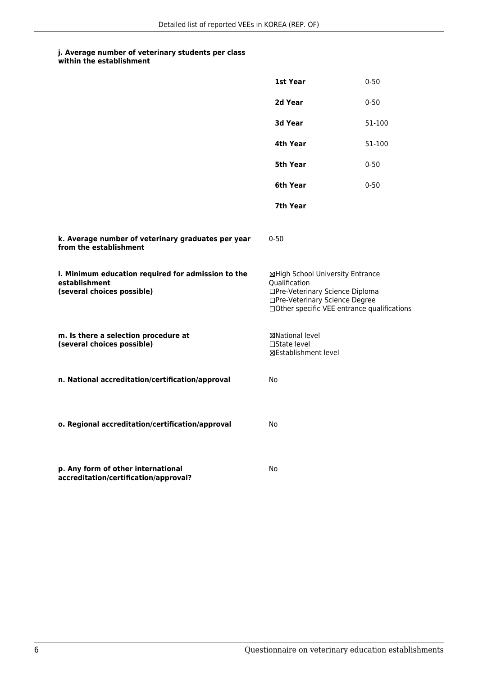|                                                                                                   | 1st Year                                                                                                                                                              | $0 - 50$ |
|---------------------------------------------------------------------------------------------------|-----------------------------------------------------------------------------------------------------------------------------------------------------------------------|----------|
|                                                                                                   | 2d Year                                                                                                                                                               | $0 - 50$ |
|                                                                                                   | 3d Year                                                                                                                                                               | 51-100   |
|                                                                                                   | 4th Year                                                                                                                                                              | 51-100   |
|                                                                                                   | 5th Year                                                                                                                                                              | $0 - 50$ |
|                                                                                                   | 6th Year                                                                                                                                                              | $0 - 50$ |
|                                                                                                   | 7th Year                                                                                                                                                              |          |
| k. Average number of veterinary graduates per year<br>from the establishment                      | $0 - 50$                                                                                                                                                              |          |
| I. Minimum education required for admission to the<br>establishment<br>(several choices possible) | ⊠High School University Entrance<br>Qualification<br>□Pre-Veterinary Science Diploma<br>□Pre-Veterinary Science Degree<br>□Other specific VEE entrance qualifications |          |
| m. Is there a selection procedure at<br>(several choices possible)                                | ⊠National level<br>$\Box$ State level<br>⊠Establishment level                                                                                                         |          |
| n. National accreditation/certification/approval                                                  | No                                                                                                                                                                    |          |
| o. Regional accreditation/certification/approval                                                  | No                                                                                                                                                                    |          |
| p. Any form of other international<br>accreditation/certification/approval?                       | No                                                                                                                                                                    |          |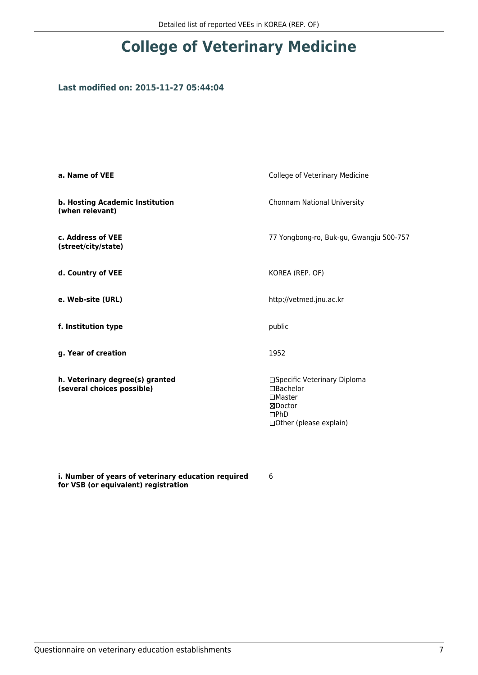### **Last modified on: 2015-11-27 05:44:04**

| a. Name of VEE                                                | College of Veterinary Medicine                                                                                    |
|---------------------------------------------------------------|-------------------------------------------------------------------------------------------------------------------|
| b. Hosting Academic Institution<br>(when relevant)            | Chonnam National University                                                                                       |
| c. Address of VEE<br>(street/city/state)                      | 77 Yongbong-ro, Buk-gu, Gwangju 500-757                                                                           |
| d. Country of VEE                                             | KOREA (REP. OF)                                                                                                   |
| e. Web-site (URL)                                             | http://vetmed.jnu.ac.kr                                                                                           |
| f. Institution type                                           | public                                                                                                            |
| g. Year of creation                                           | 1952                                                                                                              |
| h. Veterinary degree(s) granted<br>(several choices possible) | □Specific Veterinary Diploma<br>□Bachelor<br>$\square$ Master<br>⊠Doctor<br>DPhD<br>$\Box$ Other (please explain) |

**i. Number of years of veterinary education required for VSB (or equivalent) registration**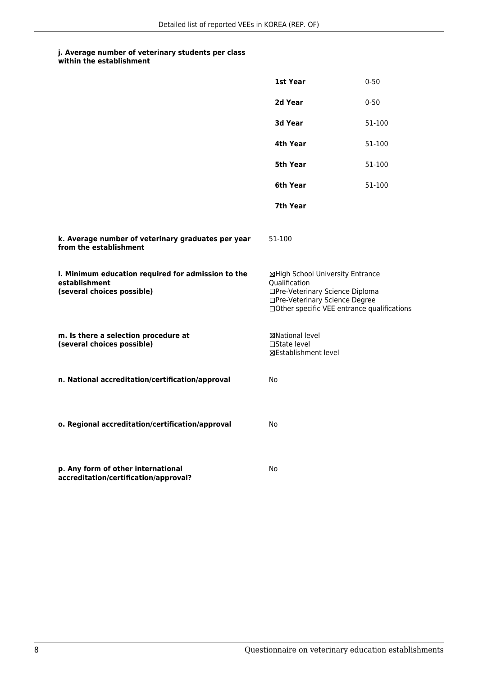|                                                                                                   | 1st Year                                                                                                                                                              | $0 - 50$ |
|---------------------------------------------------------------------------------------------------|-----------------------------------------------------------------------------------------------------------------------------------------------------------------------|----------|
|                                                                                                   | 2d Year                                                                                                                                                               | $0 - 50$ |
|                                                                                                   | 3d Year                                                                                                                                                               | 51-100   |
|                                                                                                   | 4th Year                                                                                                                                                              | 51-100   |
|                                                                                                   | 5th Year                                                                                                                                                              | 51-100   |
|                                                                                                   | 6th Year                                                                                                                                                              | 51-100   |
|                                                                                                   | 7th Year                                                                                                                                                              |          |
| k. Average number of veterinary graduates per year<br>from the establishment                      | 51-100                                                                                                                                                                |          |
| I. Minimum education required for admission to the<br>establishment<br>(several choices possible) | ⊠High School University Entrance<br>Qualification<br>□Pre-Veterinary Science Diploma<br>□Pre-Veterinary Science Degree<br>□Other specific VEE entrance qualifications |          |
| m. Is there a selection procedure at<br>(several choices possible)                                | ⊠National level<br>$\Box$ State level<br>⊠Establishment level                                                                                                         |          |
| n. National accreditation/certification/approval                                                  | No                                                                                                                                                                    |          |
| o. Regional accreditation/certification/approval                                                  | No                                                                                                                                                                    |          |
| p. Any form of other international<br>accreditation/certification/approval?                       | No                                                                                                                                                                    |          |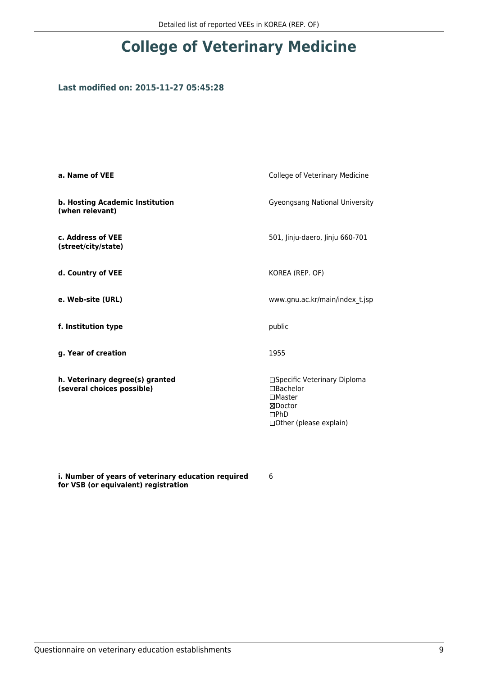### **Last modified on: 2015-11-27 05:45:28**

| a. Name of VEE                                                | College of Veterinary Medicine                                                                            |
|---------------------------------------------------------------|-----------------------------------------------------------------------------------------------------------|
| b. Hosting Academic Institution<br>(when relevant)            | Gyeongsang National University                                                                            |
| c. Address of VEE<br>(street/city/state)                      | 501, Jinju-daero, Jinju 660-701                                                                           |
| d. Country of VEE                                             | KOREA (REP. OF)                                                                                           |
| e. Web-site (URL)                                             | www.gnu.ac.kr/main/index t.jsp                                                                            |
| f. Institution type                                           | public                                                                                                    |
| g. Year of creation                                           | 1955                                                                                                      |
| h. Veterinary degree(s) granted<br>(several choices possible) | □Specific Veterinary Diploma<br>□Bachelor<br>$\Box$ Master<br>⊠Doctor<br>DPhD<br>□ Other (please explain) |

**i. Number of years of veterinary education required for VSB (or equivalent) registration**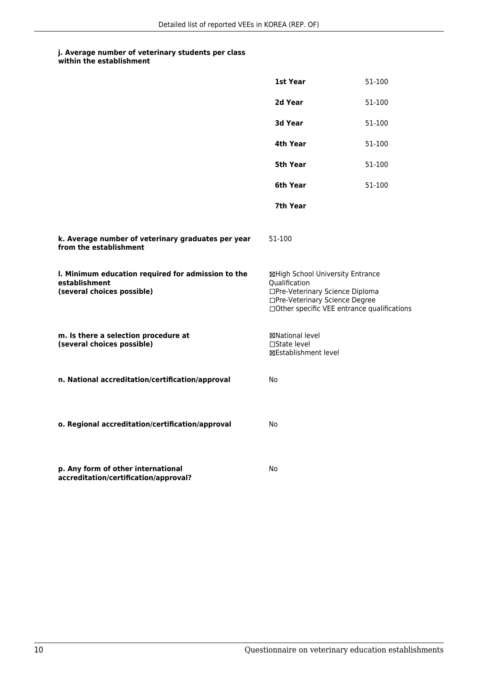| within the establishment |
|--------------------------|
|                          |

|                                                                                                   | 1st Year                                                                                                                                                              | 51-100 |
|---------------------------------------------------------------------------------------------------|-----------------------------------------------------------------------------------------------------------------------------------------------------------------------|--------|
|                                                                                                   | 2d Year                                                                                                                                                               | 51-100 |
|                                                                                                   | 3d Year                                                                                                                                                               | 51-100 |
|                                                                                                   | 4th Year                                                                                                                                                              | 51-100 |
|                                                                                                   | 5th Year                                                                                                                                                              | 51-100 |
|                                                                                                   | 6th Year                                                                                                                                                              | 51-100 |
|                                                                                                   | 7th Year                                                                                                                                                              |        |
| k. Average number of veterinary graduates per year<br>from the establishment                      | 51-100                                                                                                                                                                |        |
| I. Minimum education required for admission to the<br>establishment<br>(several choices possible) | ⊠High School University Entrance<br>Qualification<br>□Pre-Veterinary Science Diploma<br>□Pre-Veterinary Science Degree<br>□Other specific VEE entrance qualifications |        |
| m. Is there a selection procedure at<br>(several choices possible)                                | ⊠National level<br>$\Box$ State level<br>⊠Establishment level                                                                                                         |        |
| n. National accreditation/certification/approval                                                  | No                                                                                                                                                                    |        |
| o. Regional accreditation/certification/approval                                                  | No                                                                                                                                                                    |        |
| p. Any form of other international<br>accreditation/certification/approval?                       | No                                                                                                                                                                    |        |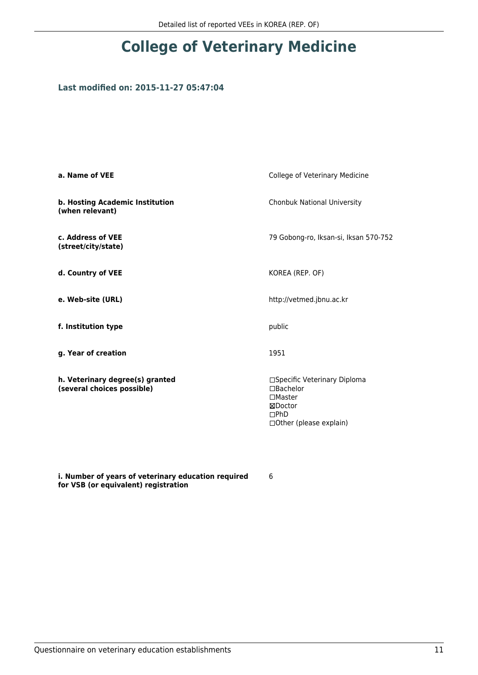### **Last modified on: 2015-11-27 05:47:04**

| a. Name of VEE                                                | College of Veterinary Medicine                                                                                     |
|---------------------------------------------------------------|--------------------------------------------------------------------------------------------------------------------|
| b. Hosting Academic Institution<br>(when relevant)            | Chonbuk National University                                                                                        |
| c. Address of VEE<br>(street/city/state)                      | 79 Gobong-ro, Iksan-si, Iksan 570-752                                                                              |
| d. Country of VEE                                             | KOREA (REP. OF)                                                                                                    |
| e. Web-site (URL)                                             | http://vetmed.jbnu.ac.kr                                                                                           |
| f. Institution type                                           | public                                                                                                             |
| g. Year of creation                                           | 1951                                                                                                               |
| h. Veterinary degree(s) granted<br>(several choices possible) | □Specific Veterinary Diploma<br>$\Box$ Bachelor<br>$\square$ Master<br>⊠Doctor<br>DPhD<br>□ Other (please explain) |

**i. Number of years of veterinary education required for VSB (or equivalent) registration**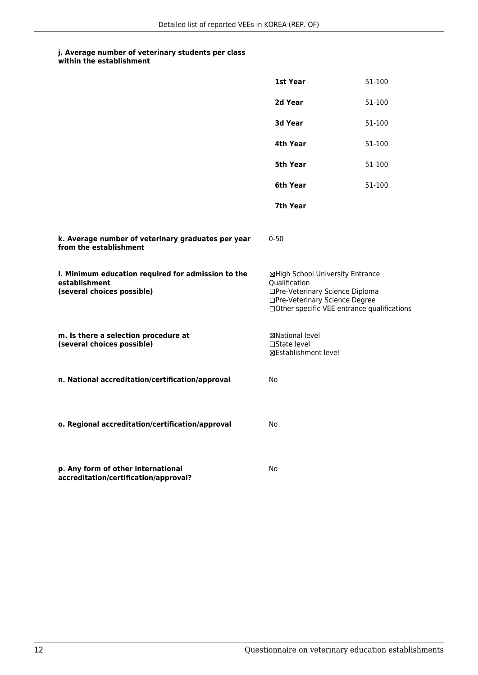|                                                                                                   | 1st Year                                                                                                                                                              | 51-100 |
|---------------------------------------------------------------------------------------------------|-----------------------------------------------------------------------------------------------------------------------------------------------------------------------|--------|
|                                                                                                   | 2d Year                                                                                                                                                               | 51-100 |
|                                                                                                   | 3d Year                                                                                                                                                               | 51-100 |
|                                                                                                   | 4th Year                                                                                                                                                              | 51-100 |
|                                                                                                   | 5th Year                                                                                                                                                              | 51-100 |
|                                                                                                   | 6th Year                                                                                                                                                              | 51-100 |
|                                                                                                   | 7th Year                                                                                                                                                              |        |
| k. Average number of veterinary graduates per year<br>from the establishment                      | $0 - 50$                                                                                                                                                              |        |
| I. Minimum education required for admission to the<br>establishment<br>(several choices possible) | ⊠High School University Entrance<br>Qualification<br>□Pre-Veterinary Science Diploma<br>□Pre-Veterinary Science Degree<br>□Other specific VEE entrance qualifications |        |
| m. Is there a selection procedure at<br>(several choices possible)                                | ⊠National level<br>□State level<br><b>⊠Establishment level</b>                                                                                                        |        |
| n. National accreditation/certification/approval                                                  | <b>No</b>                                                                                                                                                             |        |
| o. Regional accreditation/certification/approval                                                  | No                                                                                                                                                                    |        |
| p. Any form of other international<br>accreditation/certification/approval?                       | No                                                                                                                                                                    |        |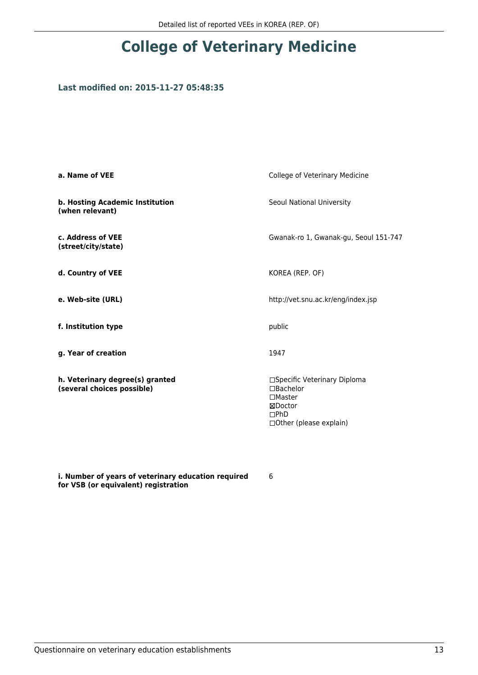### **Last modified on: 2015-11-27 05:48:35**

| a. Name of VEE                                                | College of Veterinary Medicine                                                                           |
|---------------------------------------------------------------|----------------------------------------------------------------------------------------------------------|
| b. Hosting Academic Institution<br>(when relevant)            | Seoul National University                                                                                |
| c. Address of VEE<br>(street/city/state)                      | Gwanak-ro 1, Gwanak-gu, Seoul 151-747                                                                    |
| d. Country of VEE                                             | KOREA (REP. OF)                                                                                          |
| e. Web-site (URL)                                             | http://vet.snu.ac.kr/eng/index.jsp                                                                       |
| f. Institution type                                           | public                                                                                                   |
| g. Year of creation                                           | 1947                                                                                                     |
| h. Veterinary degree(s) granted<br>(several choices possible) | □Specific Veterinary Diploma<br>□Bachelor<br>$\Box$ Master<br>⊠Doctor<br>DPhD<br>□Other (please explain) |

**i. Number of years of veterinary education required for VSB (or equivalent) registration**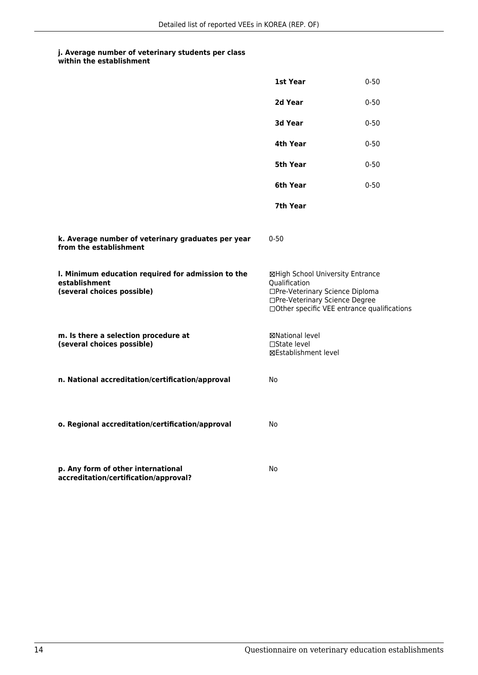|                                                                                                   | 1st Year                                                                                                                                                              | $0 - 50$ |
|---------------------------------------------------------------------------------------------------|-----------------------------------------------------------------------------------------------------------------------------------------------------------------------|----------|
|                                                                                                   | 2d Year                                                                                                                                                               | $0 - 50$ |
|                                                                                                   | 3d Year                                                                                                                                                               | $0 - 50$ |
|                                                                                                   | 4th Year                                                                                                                                                              | $0 - 50$ |
|                                                                                                   | 5th Year                                                                                                                                                              | $0 - 50$ |
|                                                                                                   | 6th Year                                                                                                                                                              | $0 - 50$ |
|                                                                                                   | 7th Year                                                                                                                                                              |          |
| k. Average number of veterinary graduates per year<br>from the establishment                      | $0 - 50$                                                                                                                                                              |          |
| I. Minimum education required for admission to the<br>establishment<br>(several choices possible) | ⊠High School University Entrance<br>Qualification<br>□Pre-Veterinary Science Diploma<br>□Pre-Veterinary Science Degree<br>□Other specific VEE entrance qualifications |          |
| m. Is there a selection procedure at<br>(several choices possible)                                | ⊠National level<br>□State level<br><b>⊠Establishment level</b>                                                                                                        |          |
| n. National accreditation/certification/approval                                                  | No                                                                                                                                                                    |          |
| o. Regional accreditation/certification/approval                                                  | No                                                                                                                                                                    |          |
| p. Any form of other international<br>accreditation/certification/approval?                       | No                                                                                                                                                                    |          |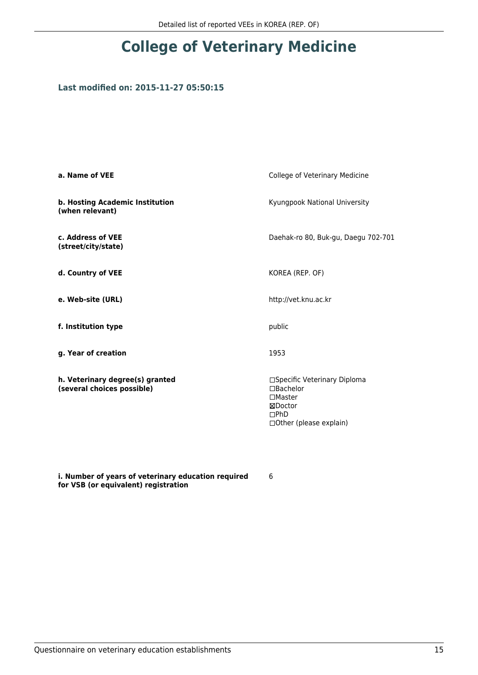### **Last modified on: 2015-11-27 05:50:15**

| a. Name of VEE                                                | College of Veterinary Medicine                                                                                    |
|---------------------------------------------------------------|-------------------------------------------------------------------------------------------------------------------|
| b. Hosting Academic Institution<br>(when relevant)            | Kyungpook National University                                                                                     |
| c. Address of VEE<br>(street/city/state)                      | Daehak-ro 80, Buk-gu, Daegu 702-701                                                                               |
| d. Country of VEE                                             | KOREA (REP. OF)                                                                                                   |
| e. Web-site (URL)                                             | http://vet.knu.ac.kr                                                                                              |
| f. Institution type                                           | public                                                                                                            |
| g. Year of creation                                           | 1953                                                                                                              |
| h. Veterinary degree(s) granted<br>(several choices possible) | □Specific Veterinary Diploma<br>□Bachelor<br>$\square$ Master<br>⊠Doctor<br>DPhD<br>$\Box$ Other (please explain) |

**i. Number of years of veterinary education required for VSB (or equivalent) registration**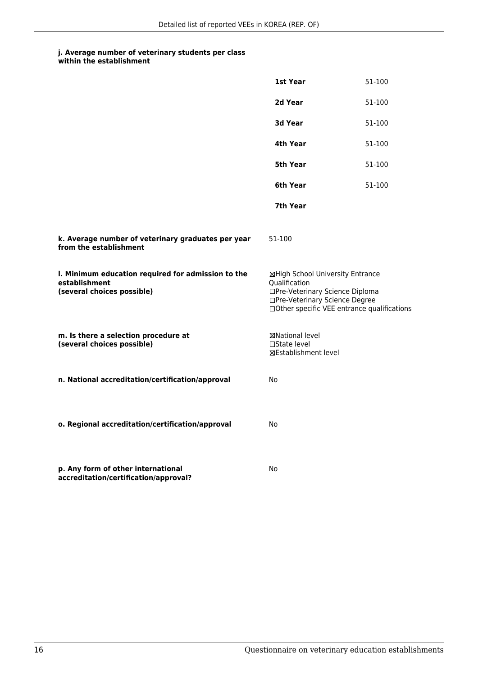| within the establishment |
|--------------------------|
|                          |

|                                                                                                   | 1st Year                                                                                                                                                              | 51-100 |
|---------------------------------------------------------------------------------------------------|-----------------------------------------------------------------------------------------------------------------------------------------------------------------------|--------|
|                                                                                                   | 2d Year                                                                                                                                                               | 51-100 |
|                                                                                                   | 3d Year                                                                                                                                                               | 51-100 |
|                                                                                                   | 4th Year                                                                                                                                                              | 51-100 |
|                                                                                                   | 5th Year                                                                                                                                                              | 51-100 |
|                                                                                                   | 6th Year                                                                                                                                                              | 51-100 |
|                                                                                                   | 7th Year                                                                                                                                                              |        |
| k. Average number of veterinary graduates per year<br>from the establishment                      | 51-100                                                                                                                                                                |        |
| I. Minimum education required for admission to the<br>establishment<br>(several choices possible) | ⊠High School University Entrance<br>Qualification<br>□Pre-Veterinary Science Diploma<br>□Pre-Veterinary Science Degree<br>□Other specific VEE entrance qualifications |        |
| m. Is there a selection procedure at<br>(several choices possible)                                | ⊠National level<br>□State level<br><b>⊠Establishment level</b>                                                                                                        |        |
| n. National accreditation/certification/approval                                                  | <b>No</b>                                                                                                                                                             |        |
| o. Regional accreditation/certification/approval                                                  | No                                                                                                                                                                    |        |
| p. Any form of other international<br>accreditation/certification/approval?                       | No                                                                                                                                                                    |        |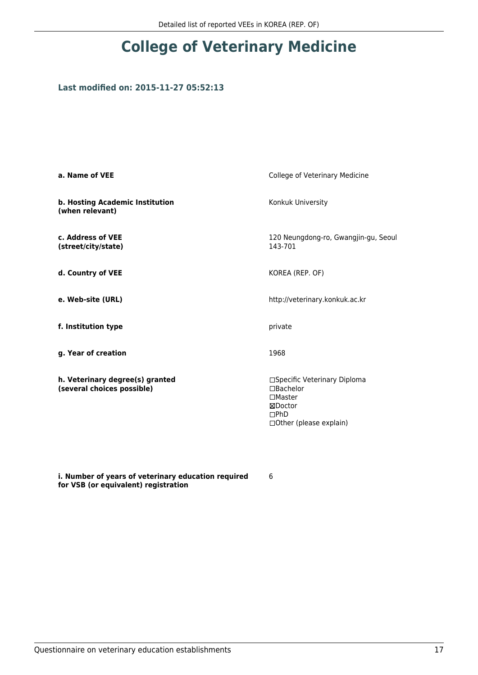### **Last modified on: 2015-11-27 05:52:13**

| a. Name of VEE                                                | College of Veterinary Medicine                                                                                     |
|---------------------------------------------------------------|--------------------------------------------------------------------------------------------------------------------|
| b. Hosting Academic Institution<br>(when relevant)            | Konkuk University                                                                                                  |
| c. Address of VEE<br>(street/city/state)                      | 120 Neungdong-ro, Gwangjin-gu, Seoul<br>143-701                                                                    |
| d. Country of VEE                                             | KOREA (REP. OF)                                                                                                    |
| e. Web-site (URL)                                             | http://veterinary.konkuk.ac.kr                                                                                     |
| f. Institution type                                           | private                                                                                                            |
| g. Year of creation                                           | 1968                                                                                                               |
| h. Veterinary degree(s) granted<br>(several choices possible) | □Specific Veterinary Diploma<br>$\Box$ Bachelor<br>$\square$ Master<br>⊠Doctor<br>DPhD<br>□ Other (please explain) |

**i. Number of years of veterinary education required for VSB (or equivalent) registration**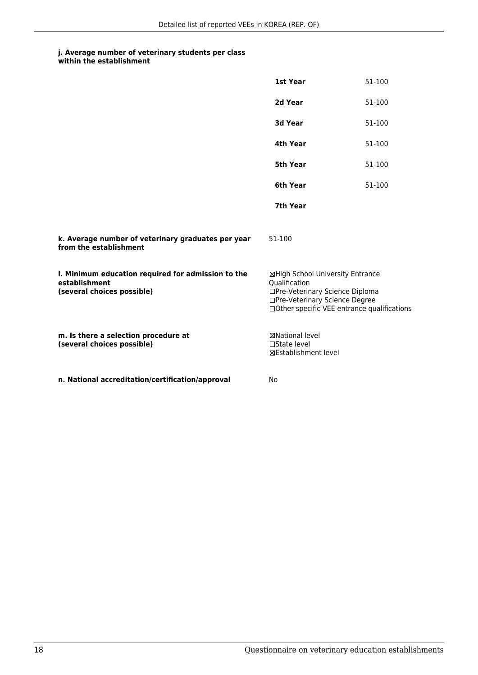|                                                                                                   | <b>1st Year</b>                                                                                                                                                       | 51-100 |
|---------------------------------------------------------------------------------------------------|-----------------------------------------------------------------------------------------------------------------------------------------------------------------------|--------|
|                                                                                                   | 2d Year                                                                                                                                                               | 51-100 |
|                                                                                                   | <b>3d Year</b>                                                                                                                                                        | 51-100 |
|                                                                                                   | 4th Year                                                                                                                                                              | 51-100 |
|                                                                                                   | <b>5th Year</b>                                                                                                                                                       | 51-100 |
|                                                                                                   | 6th Year                                                                                                                                                              | 51-100 |
|                                                                                                   | 7th Year                                                                                                                                                              |        |
| k. Average number of veterinary graduates per year<br>from the establishment                      | 51-100                                                                                                                                                                |        |
| I. Minimum education required for admission to the<br>establishment<br>(several choices possible) | ⊠High School University Entrance<br>Qualification<br>□Pre-Veterinary Science Diploma<br>□Pre-Veterinary Science Degree<br>□Other specific VEE entrance qualifications |        |
| m. Is there a selection procedure at<br>(several choices possible)                                | <b>⊠National level</b><br>$\Box$ State level<br><b>⊠Establishment level</b>                                                                                           |        |
| n. National accreditation/certification/approval                                                  | No                                                                                                                                                                    |        |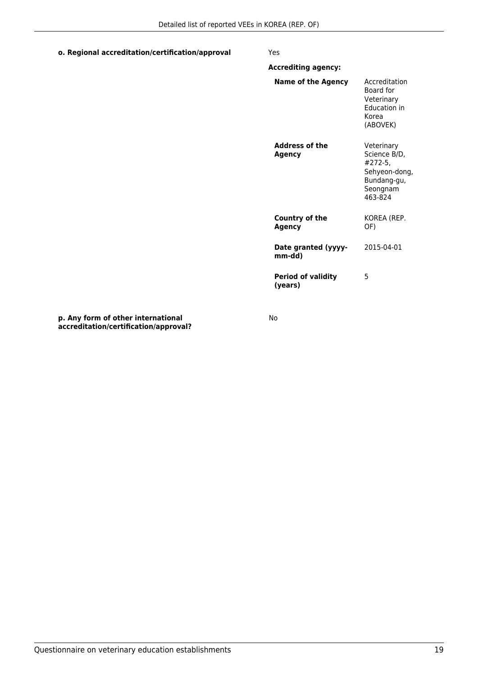#### **o. Regional accreditation/certification/approval** Yes

| <b>Accrediting agency:</b>             |                                                                                              |
|----------------------------------------|----------------------------------------------------------------------------------------------|
| Name of the Agency                     | Accreditation<br>Board for<br>Veterinary<br><b>Education in</b><br>Korea<br>(ABOVEK)         |
| <b>Address of the</b><br><b>Agency</b> | Veterinary<br>Science B/D,<br>#272-5,<br>Sehyeon-dong,<br>Bundang-gu,<br>Seongnam<br>463-824 |
| <b>Country of the</b><br>Agency        | KOREA (REP.<br>OF)                                                                           |
| Date granted (yyyy-<br>mm-dd)          | 2015-04-01                                                                                   |
| <b>Period of validity</b><br>(years)   | 5                                                                                            |

**p. Any form of other international accreditation/certification/approval?** No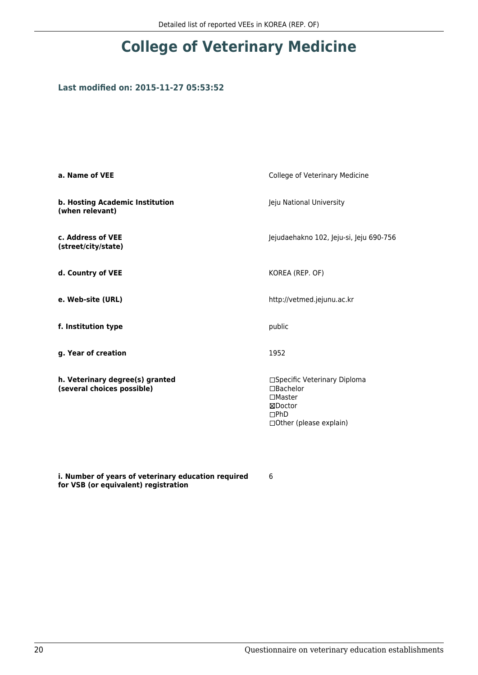### **Last modified on: 2015-11-27 05:53:52**

| a. Name of VEE                                                | College of Veterinary Medicine                                                                               |
|---------------------------------------------------------------|--------------------------------------------------------------------------------------------------------------|
| b. Hosting Academic Institution<br>(when relevant)            | Jeju National University                                                                                     |
| c. Address of VEE<br>(street/city/state)                      | Jejudaehakno 102, Jeju-si, Jeju 690-756                                                                      |
| d. Country of VEE                                             | KOREA (REP. OF)                                                                                              |
| e. Web-site (URL)                                             | http://vetmed.jejunu.ac.kr                                                                                   |
| f. Institution type                                           | public                                                                                                       |
| g. Year of creation                                           | 1952                                                                                                         |
| h. Veterinary degree(s) granted<br>(several choices possible) | □Specific Veterinary Diploma<br>□Bachelor<br>$\square$ Master<br>⊠Doctor<br>DPhD<br>□ Other (please explain) |

**i. Number of years of veterinary education required for VSB (or equivalent) registration**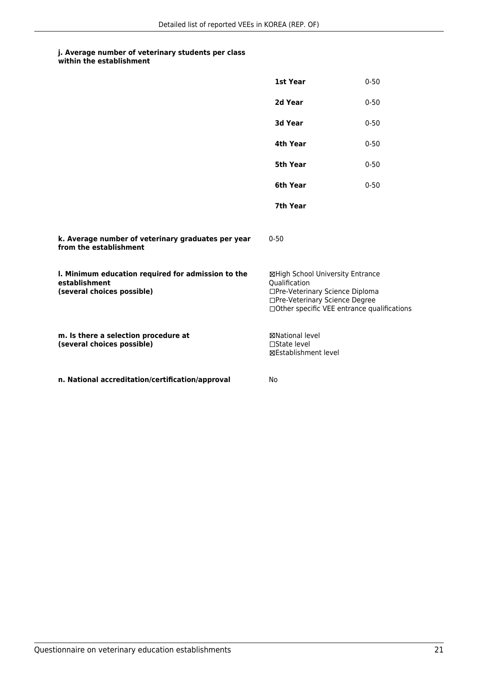|                                                                                                   | 1st Year                                                                                                                                                              | $0 - 50$ |
|---------------------------------------------------------------------------------------------------|-----------------------------------------------------------------------------------------------------------------------------------------------------------------------|----------|
|                                                                                                   | 2d Year                                                                                                                                                               | $0 - 50$ |
|                                                                                                   | 3d Year                                                                                                                                                               | $0 - 50$ |
|                                                                                                   | 4th Year                                                                                                                                                              | $0 - 50$ |
|                                                                                                   | 5th Year                                                                                                                                                              | $0 - 50$ |
|                                                                                                   | 6th Year                                                                                                                                                              | $0 - 50$ |
|                                                                                                   | 7th Year                                                                                                                                                              |          |
| k. Average number of veterinary graduates per year<br>from the establishment                      | $0 - 50$                                                                                                                                                              |          |
| I. Minimum education required for admission to the<br>establishment<br>(several choices possible) | ⊠High School University Entrance<br>Qualification<br>□Pre-Veterinary Science Diploma<br>□Pre-Veterinary Science Degree<br>□Other specific VEE entrance qualifications |          |
| m. Is there a selection procedure at<br>(several choices possible)                                | <b>⊠National level</b><br>$\Box$ State level<br><b>⊠Establishment level</b>                                                                                           |          |
| n. National accreditation/certification/approval                                                  | No                                                                                                                                                                    |          |